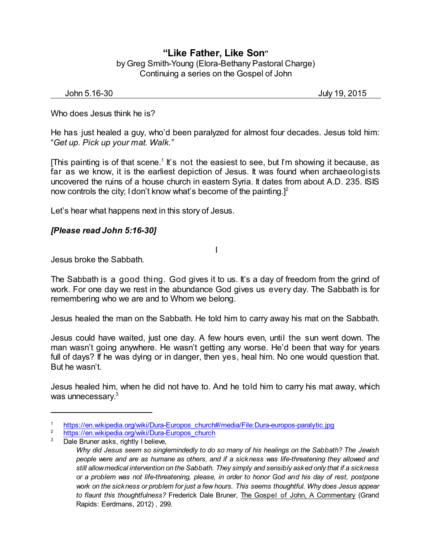## **"Like Father, Like Son"** by Greg Smith-Young (Elora-Bethany Pastoral Charge) Continuing a series on the Gospel of John

| John 5.16-30 | <b>July 19.</b> | . 2015 |
|--------------|-----------------|--------|
|--------------|-----------------|--------|

Who does Jesus think he is?

He has just healed a guy, who'd been paralyzed for almost four decades. Jesus told him: "*Get up. Pick up your mat. Walk."*

[This painting is of that scene.<sup>1</sup> It's not the easiest to see, but I'm showing it because, as far as we know, it is the earliest depiction of Jesus. It was found when archaeologists uncovered the ruins of a house church in eastern Syria. It dates from about A.D. 235. ISIS now controls the city; I don't know what's become of the painting.]<sup>2</sup>

Let's hear what happens next in this story of Jesus.

## *[Please read John 5:16-30]*

Jesus broke the Sabbath.

The Sabbath is a good thing. God gives it to us. It's a day of freedom from the grind of work. For one day we rest in the abundance God gives us every day. The Sabbath is for remembering who we are and to Whom we belong.

I

Jesus healed the man on the Sabbath. He told him to carry away his mat on the Sabbath.

Jesus could have waited, just one day. A few hours even, until the sun went down. The man wasn't going anywhere. He wasn't getting any worse. He'd been that way for years full of days? If he was dying or in danger, then yes, heal him. No one would question that. But he wasn't.

Jesus healed him, when he did not have to. And he told him to carry his mat away, which was unnecessary.<sup>3</sup>

<sup>1</sup> [https://en.wikipedia.org/wiki/Dura-Europos\\_church#/media/File:Dura-europos-paralytic.jpg](https://en.wikipedia.org/wiki/Dura-Europos_church#/media/File:Dura-europos-paralytic.jpg)<br>2 https://en.wikipedia.org/wiki/Dura-Europos\_oburch

<sup>&</sup>lt;sup>2</sup> [https://en.wikipedia.org/wiki/Dura-Europos\\_church](https://en.wikipedia.org/wiki/Dura-Europos_church)

Dale Bruner asks, rightly I believe,

*Why did Jesus seem so singlemindedly to do so many of his healings on the Sabbath? The Jewish people were and are as humane as others, and if a sickness was life-threatening they allowed and still allowmedical intervention on the Sabbath. They simply and sensibly asked only that if a sickness or a problem was not life-threatening, please, in order to honor God and his day of rest, postpone work on the sickness or problem for just a few hours. This seems thoughtful. Why does Jesus appear to flaunt this thoughtfulness?* Frederick Dale Bruner, The Gospel of John, A Commentary (Grand Rapids: Eerdmans, 2012) , 299.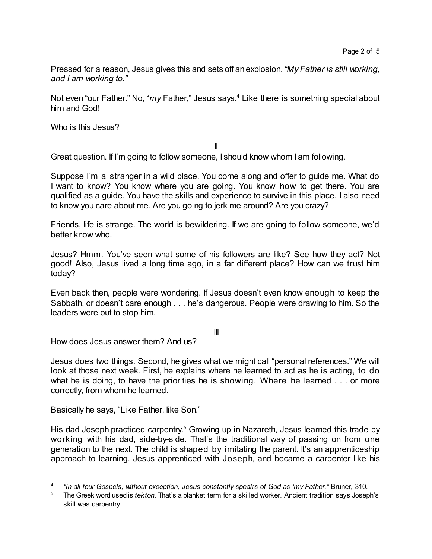Pressed for a reason, Jesus gives this and sets off anexplosion.*"My Father is still working, and I am working to."*

Not even "our Father." No, "*my* Father," Jesus says. <sup>4</sup> Like there is something special about him and God!

Who is this Jesus?

II

Great question. If I'm going to follow someone, I should know whom I am following.

Suppose I'm a stranger in a wild place. You come along and offer to guide me. What do I want to know? You know where you are going. You know how to get there. You are qualified as a guide. You have the skills and experience to survive in this place. I also need to know you care about me. Are you going to jerk me around? Are you crazy?

Friends, life is strange. The world is bewildering. If we are going to follow someone, we'd better know who.

Jesus? Hmm. You've seen what some of his followers are like? See how they act? Not good! Also, Jesus lived a long time ago, in a far different place? How can we trust him today?

Even back then, people were wondering. If Jesus doesn't even know enough to keep the Sabbath, or doesn't care enough . . . he's dangerous. People were drawing to him. So the leaders were out to stop him.

III

How does Jesus answer them? And us?

Jesus does two things. Second, he gives what we might call "personal references." We will look at those next week. First, he explains where he learned to act as he is acting, to do what he is doing, to have the priorities he is showing. Where he learned . . . or more correctly, from whom he learned.

Basically he says, "Like Father, like Son."

His dad Joseph practiced carpentry.<sup>5</sup> Growing up in Nazareth, Jesus learned this trade by working with his dad, side-by-side. That's the traditional way of passing on from one generation to the next. The child is shaped by imitating the parent. It's an apprenticeship approach to learning. Jesus apprenticed with Joseph, and became a carpenter like his

<sup>4</sup> *"In all four Gospels, without exception, Jesus constantly speaks of God as 'my Father."* Bruner, 310.

<sup>5</sup> The Greek word used is *tektôn*. That's a blanket term for a skilled worker. Ancient tradition says Joseph's skill was carpentry.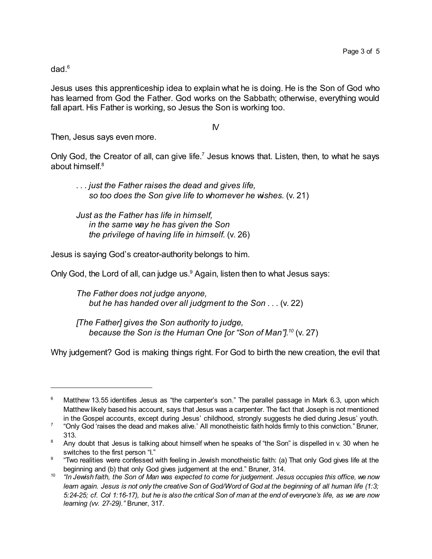dad.<sup>6</sup>

Jesus uses this apprenticeship idea to explain what he is doing. He is the Son of God who has learned from God the Father. God works on the Sabbath; otherwise, everything would fall apart. His Father is working, so Jesus the Son is working too.

IV

Then, Jesus says even more.

Only God, the Creator of all, can give life.<sup>7</sup> Jesus knows that. Listen, then, to what he says about himself. 8

*. . . just the Father raises the dead and gives life, so too does the Son give life to whomever he wishes.* (v. 21)

*Just as the Father has life in himself, in the same way he has given the Son the privilege of having life in himself.* (v. 26)

Jesus is saying God's creator-authority belongs to him.

Only God, the Lord of all, can judge us.<sup>9</sup> Again, listen then to what Jesus says:

*The Father does not judge anyone, but he has handed over all judgment to the Son . . .* (v. 22)

*[The Father] gives the Son authority to judge, because the Son is the Human One [or "Son of Man"]. 10* (v. 27)

Why judgement? God is making things right. For God to birth the new creation, the evil that

Matthew 13.55 identifies Jesus as "the carpenter's son." The parallel passage in Mark 6.3, upon which Matthew likely based his account, says that Jesus was a carpenter. The fact that Joseph is not mentioned in the Gospel accounts, except during Jesus' childhood, strongly suggests he died during Jesus' youth.

<sup>7</sup> "Only God 'raises the dead and makes alive.' All monotheistic faith holds firmly to this conviction." Bruner, 313.

<sup>&</sup>lt;sup>8</sup> Any doubt that Jesus is talking about himself when he speaks of "the Son" is dispelled in v. 30 when he switches to the first person "I."

 $^9$   $\,$  "Two realities were confessed with feeling in Jewish monotheistic faith: (a) That only God gives life at the beginning and (b) that only God gives judgement at the end." Bruner, 314.

 $^{\text{10}}$  "In Jewish faith, the Son of Man was expected to come for judgement. Jesus occupies this office, we now learn again. Jesus is not only the creative Son of God/Word of God at the beginning of all human life (1:3; 5:24-25; cf. Col 1:16-17), but he is also the critical Son of man at the end of everyone's life, as we are now *learning (vv. 27-29)."* Bruner, 317.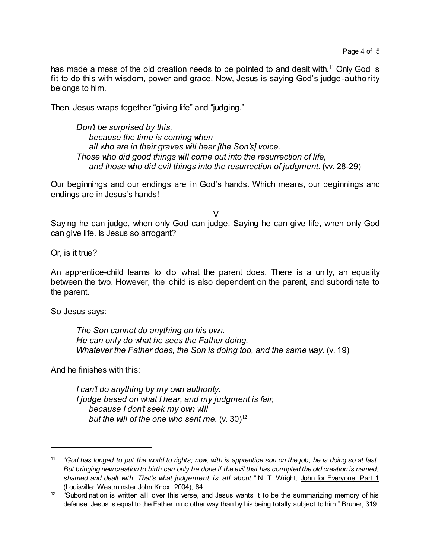has made a mess of the old creation needs to be pointed to and dealt with.<sup>11</sup> Only God is fit to do this with wisdom, power and grace. Now, Jesus is saying God's judge-authority belongs to him.

Then, Jesus wraps together "giving life" and "judging."

*Don't be surprised by this, because the time is coming when all who are in their graves will hear [the Son's] voice. Those who did good things will come out into the resurrection of life, and those who did evil things into the resurrection of judgment.* (vv. 28-29)

Our beginnings and our endings are in God's hands. Which means, our beginnings and endings are in Jesus's hands!

V

Saying he can judge, when only God can judge. Saying he can give life, when only God can give life. Is Jesus so arrogant?

Or, is it true?

An apprentice-child learns to do what the parent does. There is a unity, an equality between the two. However, the child is also dependent on the parent, and subordinate to the parent.

So Jesus says:

*The Son cannot do anything on his own. He can only do what he sees the Father doing. Whatever the Father does, the Son is doing too, and the same way.* (v. 19)

And he finishes with this:

*I can't do anything by my own authority. I judge based on what I hear, and my judgment is fair, because I don't seek my own will but* the will of the one who sent me. (v. 30)<sup>12</sup>

 $11$  "God has longed to put the world to rights; now, with is apprentice son on the job, he is doing so at last. But bringing new creation to birth can only be done if the evil that has corrupted the old creation is named, *shamed and dealt with. That's what judgement is all about."* N. T. Wright, John for Everyone, Part 1

<sup>(</sup>Louisville: Westminster John Knox, 2004), 64. 12 "Subordination is written all over this verse, and Jesus wants it to be the summarizing memory of his defense. Jesus is equal to the Father in no other way than by his being totally subject to him." Bruner, 319.